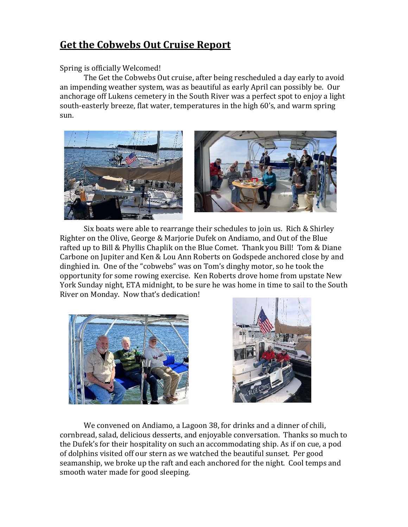## **Get the Cobwebs Out Cruise Report**

## Spring is officially Welcomed!

The Get the Cobwebs Out cruise, after being rescheduled a day early to avoid an impending weather system, was as beautiful as early April can possibly be. Our anchorage off Lukens cemetery in the South River was a perfect spot to enjoy a light south-easterly breeze, flat water, temperatures in the high 60's, and warm spring sun.



Six boats were able to rearrange their schedules to join us. Rich & Shirley Righter on the Olive, George & Marjorie Dufek on Andiamo, and Out of the Blue rafted up to Bill & Phyllis Chaplik on the Blue Comet. Thank you Bill! Tom & Diane Carbone on Jupiter and Ken & Lou Ann Roberts on Godspede anchored close by and dinghied in. One of the "cobwebs" was on Tom's dinghy motor, so he took the opportunity for some rowing exercise. Ken Roberts drove home from upstate New York Sunday night, ETA midnight, to be sure he was home in time to sail to the South River on Monday. Now that's dedication!





We convened on Andiamo, a Lagoon 38, for drinks and a dinner of chili, cornbread, salad, delicious desserts, and enjoyable conversation. Thanks so much to the Dufek's for their hospitality on such an accommodating ship. As if on cue, a pod of dolphins visited off our stern as we watched the beautiful sunset. Per good seamanship, we broke up the raft and each anchored for the night. Cool temps and smooth water made for good sleeping.